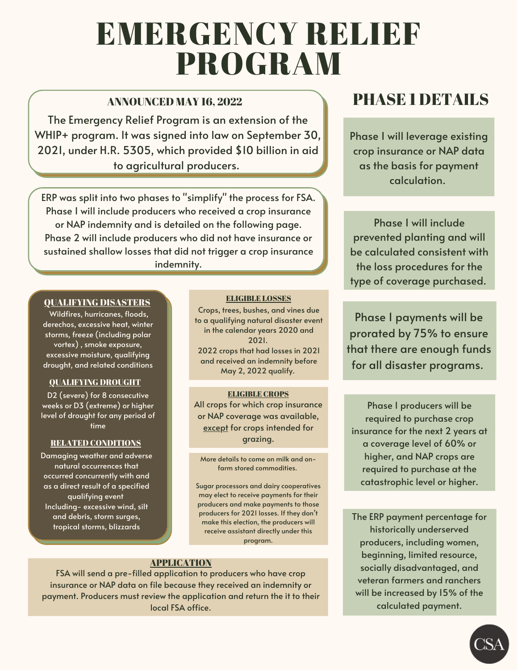# EMERGENCY RELIEF PROGRAM

### ANNOUNCED MAY 16, 2022

The Emergency Relief Program is an extension of the WHIP+ program. It was signed into law on September 30, 2021, under H.R. 5305, which provided \$10 billion in aid to agricultural producers.

ERP was split into two phases to "simplify" the process for FSA. Phase 1 will include producers who received a crop insurance or NAP indemnity and is detailed on the following page. Phase 2 will include producers who did not have insurance or sustained shallow losses that did not trigger a crop insurance indemnity.

#### QUALIFYING DISASTERS

Wildfires, hurricanes, floods, derechos, excessive heat, winter storms, freeze (including polar vortex) , smoke exposure, excessive moisture, qualifying drought, and related conditions

#### QUALIFYING DROUGHT

D2 (severe) for 8 consecutive weeks or D3 (extreme) or higher level of drought for any period of time

#### RELATED CONDITIONS

Damaging weather and adverse natural occurrences that occurred concurrently with and as a direct result of a specified qualifying event Including- excessive wind, silt and debris, storm surges, tropical storms, blizzards

#### ELIGIBLE LOSSES

Crops, trees, bushes, and vines due to a qualifying natural disaster event in the calendar years 2020 and  $2021$ 2022 crops that had losses in 2021 and received an indemnity before May 2, 2022 qualify.

#### ELIGIBLE CROPS

All crops for which crop insurance or NAP coverage was available, except for crops intended for grazing.

More details to come on milk and onfarm stored commodities.

Sugar processors and dairy cooperatives may elect to receive payments for their producers and make payments to those producers for 2021 losses. If they don't make this election, the producers will receive assistant directly under this program.

#### APPLICATION

FSA will send a pre-filled application to producers who have crop insurance or NAP data on file because they received an indemnity or payment. Producers must review the application and return the it to their local FSA office.

### PHASE 1 DETAILS

Phase 1 will leverage existing crop insurance or NAP data as the basis for payment calculation.

Phase 1 will include prevented planting and will be calculated consistent with the loss procedures for the type of coverage purchased.

Phase 1 payments will be prorated by 75% to ensure that there are enough funds for all disaster programs.

Phase 1 producers will be required to purchase crop insurance for the next 2 years at a coverage level of 60% or higher, and NAP crops are required to purchase at the catastrophic level or higher.

The ERP payment percentage for historically underserved producers, including women, beginning, limited resource, socially disadvantaged, and veteran farmers and ranchers will be increased by 15% of the calculated payment.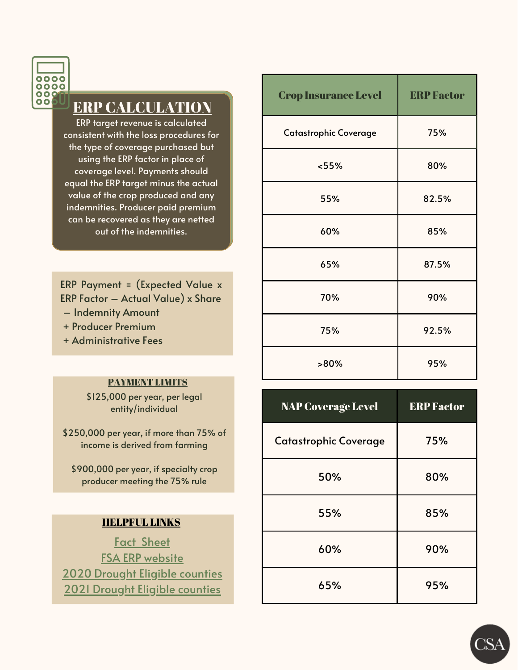

### ERP CALCULATION

ERP target revenue is calculated consistent with the loss procedures for the type of coverage purchased but using the ERP factor in place of coverage level. Payments should equal the ERP target minus the actual value of the crop produced and any indemnities. Producer paid premium can be recovered as they are netted out of the indemnities.

ERP Payment = (Expected Value x ERP Factor – Actual Value) x Share

- Indemnity Amount
- + Producer Premium
- + Administrative Fees

#### PAYMENT LIMITS

\$125,000 per year, per legal entity/individual

\$250,000 per year, if more than 75% of income is derived from farming

\$900,000 per year, if specialty crop producer meeting the 75% rule

#### HELPFUL LINKS

[Fact](https://www.fsa.usda.gov/Assets/USDA-FSA-Public/usdafiles/FactSheets/2022/fsa_erp_factsheet_2022_051222_final_v2.pdf) [Sheet](https://www.fsa.usda.gov/Assets/USDA-FSA-Public/usdafiles/FactSheets/2022/fsa_erp_factsheet_2022_051222_final_v2.pdf) FSA ERP [website](https://www.fsa.usda.gov/programs-and-services/emergency-relief/index) 2020 Drought Eligible [counties](https://www.fsa.usda.gov/Assets/USDA-FSA-Public/usdafiles/FactSheets/2022/fsa_erp_2020_factsheet_v2.pdf) 2021 Drought Eligible [counties](https://www.fsa.usda.gov/Assets/USDA-FSA-Public/usdafiles/FactSheets/2022/fsa_erp_2021_factsheet_v2.pdf)

| <b>Crop Insurance Level</b>  | <b>ERP Factor</b> |
|------------------------------|-------------------|
| <b>Catastrophic Coverage</b> | 75%               |
| < 55%                        | 80%               |
| 55%                          | 82.5%             |
| 60%                          | 85%               |
| 65%                          | 87.5%             |
| 70%                          | 90%               |
| 75%                          | 92.5%             |
| >80%                         | 95%               |

| <b>NAP Coverage Level</b>    | <b>ERP Factor</b> |
|------------------------------|-------------------|
| <b>Catastrophic Coverage</b> | 75%               |
| 50%                          | 80%               |
| 55%                          | 85%               |
| 60%                          | 90%               |
| 65%                          | 95%               |